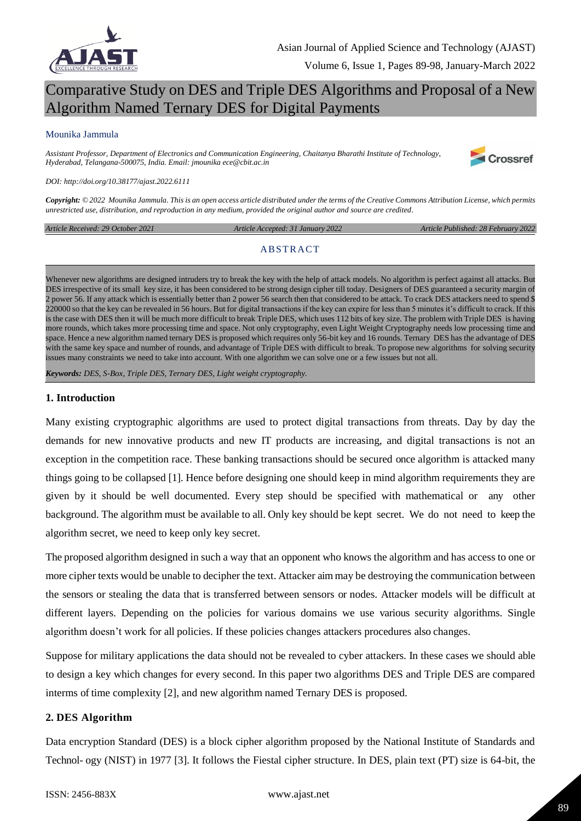

# Comparative Study on DES and Triple DES Algorithms and Proposal of a New Algorithm Named Ternary DES for Digital Payments

#### Mounika Jammula

*Assistant Professor, Department of Electronics and Communication Engineering, Chaitanya Bharathi Institute of Technology, Hyderabad, Telangana-500075, India. Email: jmounika ece@cbit.ac.in*



#### *DOI: http://doi.org/10.38177/ajast.2022.6111*

*Copyright: © 2022 Mounika Jammula. This is an open access article distributed under the terms of the Creative Commons Attribution License, which permits unrestricted use, distribution, and reproduction in any medium, provided the original author and source are credited.* 

*Article Received: 29 October 2021 Article Accepted: 31 January 2022 Article Published: 28 February 2022*

#### **ABSTRACT**

Whenever new algorithms are designed intruders try to break the key with the help of attack models. No algorithm is perfect against all attacks. But DES irrespective of its small key size, it has been considered to be strong design cipher till today. Designers of DES guaranteed a security margin of 2 power 56. If any attack which is essentially better than 2 power 56 search then that considered to be attack. To crack DES attackers need to spend \$ 220000 so that the key can be revealed in 56 hours. But for digital transactions if the key can expire for less than 5 minutes it's difficult to crack. If this is the case with DES then it will be much more difficult to break Triple DES, which uses 112 bits of key size. The problem with Triple DES is having more rounds, which takes more processing time and space. Not only cryptography, even Light Weight Cryptography needs low processing time and space. Hence a new algorithm named ternary DES is proposed which requires only 56-bit key and 16 rounds. Ternary DES has the advantage of DES with the same key space and number of rounds, and advantage of Triple DES with difficult to break. To propose new algorithms for solving security issues many constraints we need to take into account. With one algorithm we can solve one or a few issues but not all.

*Keywords: DES, S-Box, Triple DES, Ternary DES, Light weight cryptography.*

#### **1. Introduction**

Many existing cryptographic algorithms are used to protect digital transactions from threats. Day by day the demands for new innovative products and new IT products are increasing, and digital transactions is not an exception in the competition race. These banking transactions should be secured once algorithm is attacked many things going to be collapsed [1]. Hence before designing one should keep in mind algorithm requirements they are given by it should be well documented. Every step should be specified with mathematical or any other background. The algorithm must be available to all. Only key should be kept secret. We do not need to keep the algorithm secret, we need to keep only key secret.

The proposed algorithm designed in such a way that an opponent who knows the algorithm and has access to one or more cipher texts would be unable to decipher the text. Attacker aim may be destroying the communication between the sensors or stealing the data that is transferred between sensors or nodes. Attacker models will be difficult at different layers. Depending on the policies for various domains we use various security algorithms. Single algorithm doesn"t work for all policies. If these policies changes attackers procedures also changes.

Suppose for military applications the data should not be revealed to cyber attackers. In these cases we should able to design a key which changes for every second. In this paper two algorithms DES and Triple DES are compared interms of time complexity [2], and new algorithm named Ternary DES is proposed.

#### **2. DES Algorithm**

Data encryption Standard (DES) is a block cipher algorithm proposed by the National Institute of Standards and Technol- ogy (NIST) in 1977 [3]. It follows the Fiestal cipher structure. In DES, plain text (PT) size is 64-bit, the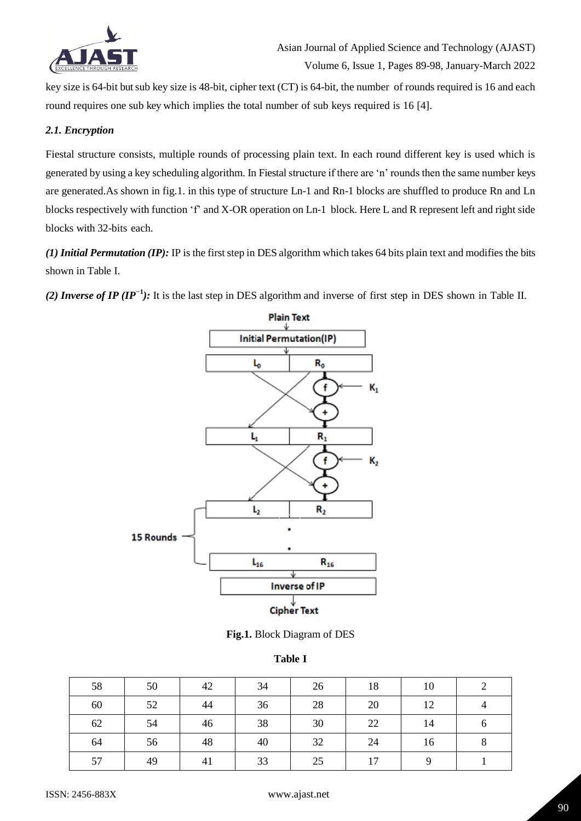

key size is 64-bit but sub key size is 48-bit, cipher text (CT) is 64-bit, the number of rounds required is 16 and each round requires one sub key which implies the total number of sub keys required is 16 [4].

#### *2.1. Encryption*

Fiestal structure consists, multiple rounds of processing plain text. In each round different key is used which is generated by using a key scheduling algorithm. In Fiestal structure if there are "n" rounds then the same number keys are generated.As shown in fig.1. in this type of structure Ln-1 and Rn-1 blocks are shuffled to produce Rn and Ln blocks respectively with function "f" and X-OR operation on Ln-1 block. Here L and R represent left and right side blocks with 32-bits each.

*(1) Initial Permutation (IP):* IP is the first step in DES algorithm which takes 64 bits plain text and modifies the bits shown in Table I.

*(2) Inverse of IP (IP<sup>−1</sup>):* It is the last step in DES algorithm and inverse of first step in DES shown in Table II.



**Fig.1.** Block Diagram of DES

#### **Table I**

| 58 | 50 | 42 | 34 | 26 | 18 | 10 |   |
|----|----|----|----|----|----|----|---|
| 60 | 52 | 44 | 36 | 28 | 20 | 12 |   |
| 62 | 54 | 46 | 38 | 30 | 22 | 14 | n |
| 64 | 56 | 48 | 40 | 32 | 24 | 16 |   |
| 57 | 49 | 41 | 33 | 25 | 17 |    |   |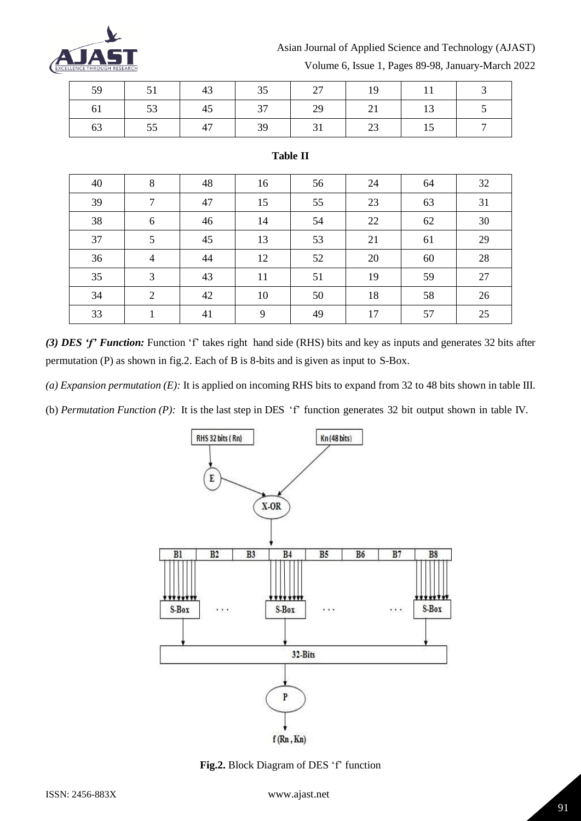

## Asian Journal of Applied Science and Technology (AJAST)

| 51 | 43 |    | 27 | 19  |  |
|----|----|----|----|-----|--|
| 53 | 45 | 37 |    | 21  |  |
| 55 | 47 | 39 | 31 | -23 |  |

**Table II**

| 40 | 8              | 48 | 16 | 56 | 24 | 64 | 32 |
|----|----------------|----|----|----|----|----|----|
| 39 | $\overline{7}$ | 47 | 15 | 55 | 23 | 63 | 31 |
| 38 | 6              | 46 | 14 | 54 | 22 | 62 | 30 |
| 37 | 5              | 45 | 13 | 53 | 21 | 61 | 29 |
| 36 | $\overline{4}$ | 44 | 12 | 52 | 20 | 60 | 28 |
| 35 | 3              | 43 | 11 | 51 | 19 | 59 | 27 |
| 34 | 2              | 42 | 10 | 50 | 18 | 58 | 26 |
| 33 |                | 41 | 9  | 49 | 17 | 57 | 25 |

Volume 6, Issue 1, Pages 89-98, January-March 2022

# *(3) DES 'f' Function:* Function "f" takes right hand side (RHS) bits and key as inputs and generates 32 bits after permutation (P) as shown in fig.2. Each of B is 8-bits and is given as input to S-Box.

*(a) Expansion permutation (E):* It is applied on incoming RHS bits to expand from 32 to 48 bits shown in table III.

(b) *Permutation Function (P):* It is the last step in DES "f" function generates 32 bit output shown in table IV.



Fig.2. Block Diagram of DES 'f' function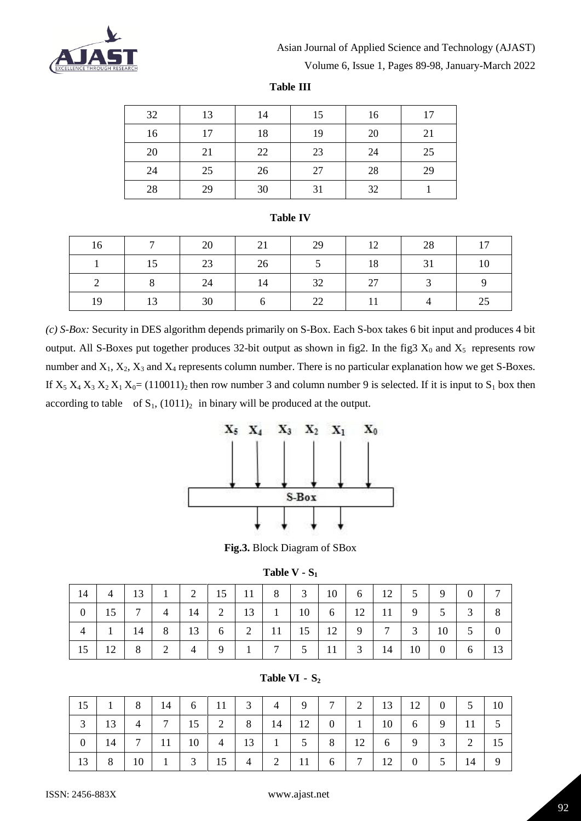

# Asian Journal of Applied Science and Technology (AJAST)

Volume 6, Issue 1, Pages 89-98, January-March 2022

**Table III**

| 32 | 13 | 14 | 15 | 16 | 17 |
|----|----|----|----|----|----|
| 16 | 17 | 18 | 19 | 20 | 21 |
| 20 | 21 | 22 | 23 | 24 | 25 |
| 24 | 25 | 26 | 27 | 28 | 29 |
| 28 | 29 | 30 | 31 | 32 |    |

#### **Table IV**

| 16 | $\overline{ }$ | 20 | 21 | 29 | 12 | 28 | 17 |
|----|----------------|----|----|----|----|----|----|
|    | 15             | 23 | 26 |    | 18 | 31 | 10 |
|    |                | 24 | 14 | 32 | 27 |    |    |
| 19 | 13             | 30 |    | 22 |    |    | 25 |

*(c) S-Box:* Security in DES algorithm depends primarily on S-Box. Each S-box takes 6 bit input and produces 4 bit output. All S-Boxes put together produces 32-bit output as shown in fig2. In the fig3  $X_0$  and  $X_5$  represents row number and  $X_1, X_2, X_3$  and  $X_4$  represents column number. There is no particular explanation how we get S-Boxes. If  $X_5 X_4 X_3 X_2 X_1 X_0 = (110011)_2$  then row number 3 and column number 9 is selected. If it is input to  $S_1$  box then according to table of  $S_1$ ,  $(1011)_2$  in binary will be produced at the output.



**Fig.3.** Block Diagram of SBox

| Table V |  |  | רס |
|---------|--|--|----|
|---------|--|--|----|

| 14             | $\overline{4}$ |   |                                                                 |                                 |   |                |                                       |  |                                                  |  | 0              | $\tau$         |
|----------------|----------------|---|-----------------------------------------------------------------|---------------------------------|---|----------------|---------------------------------------|--|--------------------------------------------------|--|----------------|----------------|
| $\overline{0}$ |                |   |                                                                 | $15$ 7 4 14                     |   |                | 2   13   1   10   6   12   11   9   5 |  |                                                  |  | $\mathfrak{Z}$ | 8              |
| $\overline{4}$ |                |   |                                                                 | $1 \mid 14 \mid 8 \mid 13 \mid$ |   |                | 6 2 11 15 12 9 7 3 10                 |  |                                                  |  | $5 \quad$      | $\overline{0}$ |
| 15             | 12             | 8 | $\begin{array}{ c c c c c } \hline 2 & 4 \\ \hline \end{array}$ |                                 | 9 | 7 <sup>1</sup> |                                       |  | $5 \mid 11 \mid 3 \mid 14 \mid 10 \mid 0 \mid 6$ |  |                | 13             |

### **Table VI - S<sup>2</sup>**

| 15             | $\begin{array}{c c} 1 & 1 \end{array}$ |                | 8 14 6                                                          | $-11$ |          | 3 4            | 9 <sup>1</sup> | 7 |                 |    |                      | 2   13   12   0 | $5 \mid$       | 10 |
|----------------|----------------------------------------|----------------|-----------------------------------------------------------------|-------|----------|----------------|----------------|---|-----------------|----|----------------------|-----------------|----------------|----|
| 3              |                                        | $\overline{4}$ | $\begin{array}{ c c c c c } \hline 7 & 15 \\\hline \end{array}$ |       |          |                | 2 8 14 12      |   | $0 \mid 1 \mid$ |    | $10 \quad 6 \quad 9$ |                 | -11            | 5  |
| $\overline{0}$ | $14$ 7 11 10 4 13 1                    |                |                                                                 |       |          |                | $5 \quad 8$    |   | 12              |    | $6 \mid 9$           | $\overline{3}$  | $\overline{2}$ | 15 |
| 13             | 8 <sup>1</sup>                         | 10             | $1 \mid 3 \mid 15 \mid$                                         |       | $4 \mid$ | $\overline{2}$ |                | 6 | 7 <sup>1</sup>  | 12 |                      |                 |                | 9  |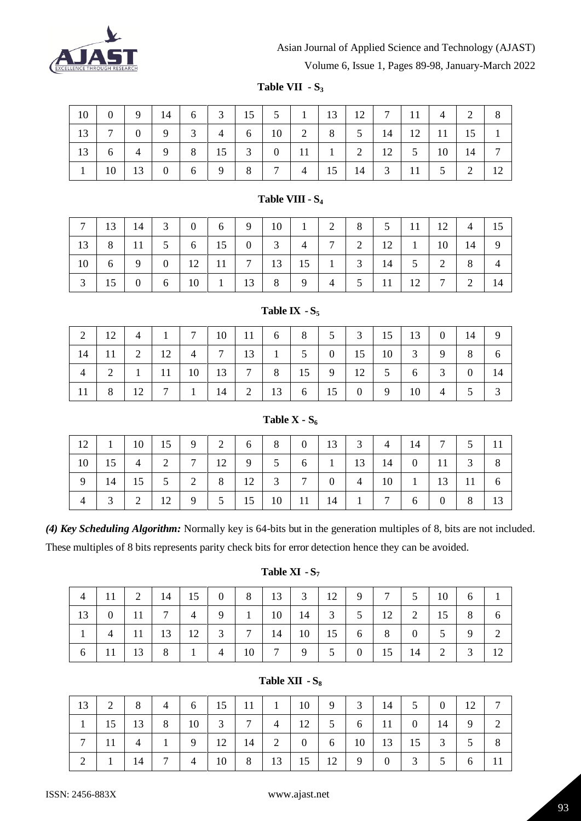

# Asian Journal of Applied Science and Technology (AJAST)

Volume 6, Issue 1, Pages 89-98, January-March 2022

**Table VII - S<sup>3</sup>**

| $-10$ $-$   |                                                                                              | $0 \mid 9 \mid 14 \mid$ |                     | 6 3 15 5 1 13 12 7 11 4        |  |  |                                                                              |  | 2   8 |   |
|-------------|----------------------------------------------------------------------------------------------|-------------------------|---------------------|--------------------------------|--|--|------------------------------------------------------------------------------|--|-------|---|
| $-13$   $-$ | $7\overline{ }$                                                                              |                         | $0 \quad 9 \quad 3$ |                                |  |  | $4 \mid 6 \mid 10 \mid 2 \mid 8 \mid 5 \mid 14 \mid 12 \mid 11 \mid 15 \mid$ |  |       |   |
| $-13$       | 6                                                                                            |                         |                     | 4 9 8 15 3 0 11 1 2 12 5 10 14 |  |  |                                                                              |  |       | 7 |
|             | $10 \mid 13 \mid 0 \mid 6 \mid 9 \mid 8 \mid 7 \mid 4 \mid 15 \mid 14 \mid 3 \mid 11 \mid 5$ |                         |                     |                                |  |  |                                                                              |  | 2     |   |

# **Table VIII - S<sup>4</sup>**

|                    |  |                                                              |  |   |  |  | 7   13   14   3   0   6   9   10   1   2   8   5   11   12   4 |                |                |
|--------------------|--|--------------------------------------------------------------|--|---|--|--|----------------------------------------------------------------|----------------|----------------|
|                    |  | $13 \mid 8 \mid 11 \mid 5 \mid 6 \mid 15 \mid 0 \mid 3 \mid$ |  |   |  |  | $4$   7   2   12   1   10   14                                 |                | - 9            |
|                    |  |                                                              |  |   |  |  | $2 \mid$                                                       | 8 <sup>1</sup> | $\overline{4}$ |
| $\vert$ 15 $\vert$ |  | $0 \mid 6 \mid 10 \mid 1 \mid 13 \mid 8$                     |  | 9 |  |  | $4 \mid 5 \mid 11 \mid 12 \mid 7 \mid$                         | 2              | 14             |

|                |        |    |                |                |    |                |    | $\sim$ |          |    |    |              |                |          |    |
|----------------|--------|----|----------------|----------------|----|----------------|----|--------|----------|----|----|--------------|----------------|----------|----|
| 2              | 12     | 4  |                | ⇁              | 10 | 11             | 6  | 8      | 5        | 3  | 15 | 13           | $\overline{0}$ | 14       | 9  |
| 14             |        | ∍  | 12             | $\overline{4}$ | ⇁  | 13             |    | 5      | $\theta$ | 15 | 10 | 3            | 9              | 8        | O  |
| $\overline{4}$ | $\sim$ |    | 11             | 10             | 13 | $\mathbf{r}$   | 8  | 15     | 9        | 12 | 5  | <sub>0</sub> | 3              | $\theta$ | 14 |
| 11             | 8      | 12 | $\overline{ }$ |                | 14 | $\overline{2}$ | 13 | 6      | 15       | 0  | 9  | 10           | 4              |          | ⌒  |

### **Table IX**  $\cdot$  **S** $\cdot$

#### **Table X - S<sup>6</sup>**

| $12$ 1 10 15 9 2 6 8 0 13 3 4 14 7 5 11                               |       |  |  |  |  |  |  |  |
|-----------------------------------------------------------------------|-------|--|--|--|--|--|--|--|
| $10$   15   4   2   7   12   9   5   6   1   13   14   0   11   3   8 |       |  |  |  |  |  |  |  |
|                                                                       |       |  |  |  |  |  |  |  |
|                                                                       | $3-1$ |  |  |  |  |  |  |  |

*(4) Key Scheduling Algorithm:* Normally key is 64-bits but in the generation multiples of 8, bits are not included. These multiples of 8 bits represents parity check bits for error detection hence they can be avoided.

## **Table XI - S<sup>7</sup>**

| $\overline{4}$ | $\vert$ 11 $\vert$ |    |   | 2   14   15   0   8   13   3   12                                                           |          |    |                |   |          |   | 9 7 5     | 10                    | $6 \quad 1$    |    |
|----------------|--------------------|----|---|---------------------------------------------------------------------------------------------|----------|----|----------------|---|----------|---|-----------|-----------------------|----------------|----|
|                |                    |    |   | $13 \mid 0 \mid 11 \mid 7 \mid 4$                                                           |          |    |                |   |          |   |           | 9 1 10 14 3 5 12 2 15 | 8 <sup>1</sup> | 6  |
|                | $\overline{4}$     |    |   | $11 \mid 13 \mid 12 \mid 3 \mid 7 \mid 14 \mid 10 \mid 15 \mid 6 \mid 8 \mid 0 \mid 5 \mid$ |          |    |                |   |          |   |           |                       | 9              | 2  |
| 6              |                    | 13 | 8 | $\mathbf{1}$                                                                                | $4 \mid$ | 10 | 7 <sup>7</sup> | 9 | $5 \mid$ | 0 | $15 \t14$ | $\overline{2}$        | $\mathfrak{Z}$ | 12 |

#### **Table XII - S<sup>8</sup>**

| 13            | $2 \mid$     |    | 8 4 6 15 11 1 10 9 3 14 5 0                        |  |                                                 |  |                   |                | <sup>12</sup> |   |
|---------------|--------------|----|----------------------------------------------------|--|-------------------------------------------------|--|-------------------|----------------|---------------|---|
|               |              |    | 15   13   8   10   3   7   4                       |  | $12$   $5$   $6$   $11$   $0$   $14$            |  |                   |                | 9             | 2 |
| $\mathcal{L}$ | 11           |    | $4   1   9   12   14   2   0   6   10   13   15  $ |  |                                                 |  |                   | $\overline{3}$ | $5 \quad 8$   |   |
|               | $\mathbf{1}$ | 14 | $7 \quad 4$                                        |  | $10 \mid 8 \mid 13 \mid 15 \mid 12 \mid 9 \mid$ |  | $0 \mid 3 \mid 5$ |                | 6             |   |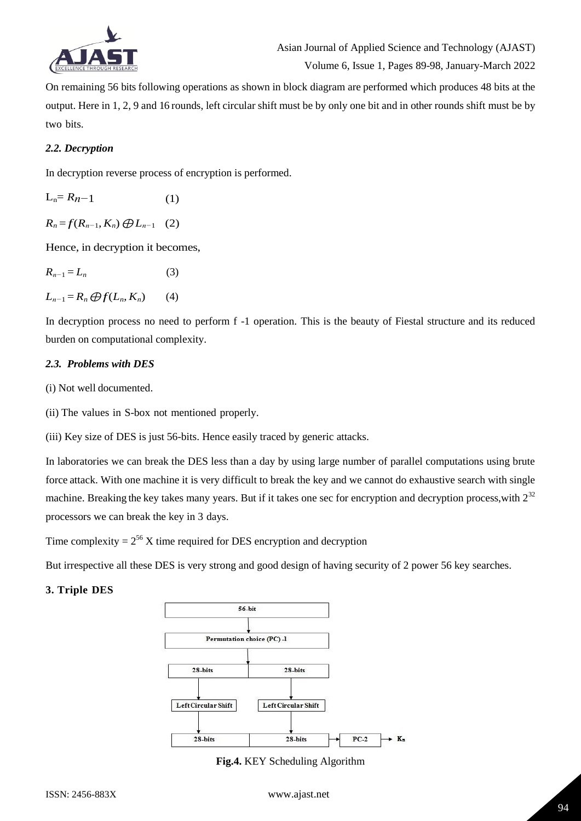

Volume 6, Issue 1, Pages 89-98, January-March 2022

On remaining 56 bits following operations as shown in block diagram are performed which produces 48 bits at the output. Here in 1, 2, 9 and 16 rounds, left circular shift must be by only one bit and in other rounds shift must be by two bits.

#### *2.2. Decryption*

In decryption reverse process of encryption is performed.

$$
L_n = R_{n-1} \tag{1}
$$

*R*<sup>*n*</sup> = *f*(*R*<sub>*n*−1</sub>*, K*<sub>*n*</sub>) ⊕ *L*<sub>*n*−1</sub> (2)

Hence, in decryption it becomes,

| $R_{n-1} = L_n$                       | (3) |
|---------------------------------------|-----|
| $L_{n-1} = R_n \bigoplus f(L_n, K_n)$ | (4) |

In decryption process no need to perform f -1 operation. This is the beauty of Fiestal structure and its reduced burden on computational complexity.

#### *2.3. Problems with DES*

(i) Not well documented.

(ii) The values in S-box not mentioned properly.

(iii) Key size of DES is just 56-bits. Hence easily traced by generic attacks.

In laboratories we can break the DES less than a day by using large number of parallel computations using brute force attack. With one machine it is very difficult to break the key and we cannot do exhaustive search with single machine. Breaking the key takes many years. But if it takes one sec for encryption and decryption process, with  $2^{32}$ processors we can break the key in 3 days.

Time complexity  $= 2^{56}$  X time required for DES encryption and decryption

But irrespective all these DES is very strong and good design of having security of 2 power 56 key searches.

## **3. Triple DES**



**Fig.4.** KEY Scheduling Algorithm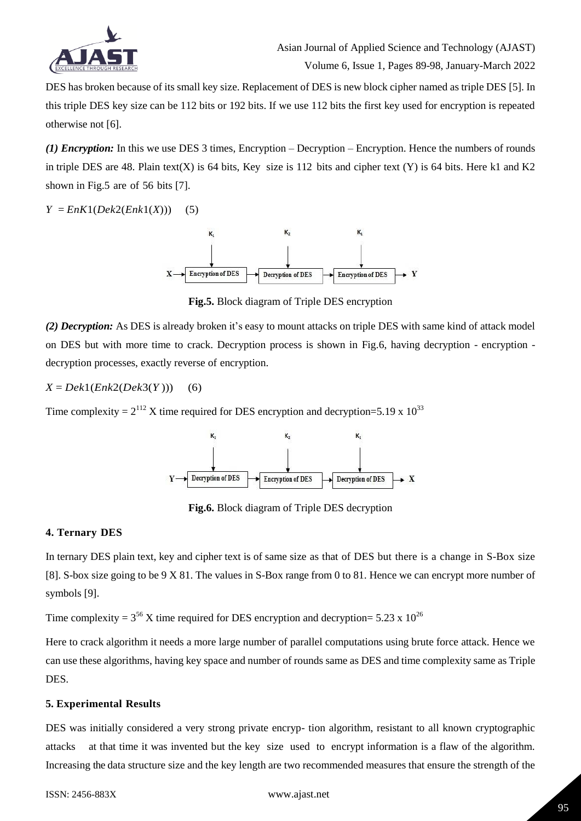

DES has broken because of its small key size. Replacement of DES is new block cipher named as triple DES [5]. In this triple DES key size can be 112 bits or 192 bits. If we use 112 bits the first key used for encryption is repeated otherwise not [6].

*(1) Encryption:* In this we use DES 3 times, Encryption – Decryption – Encryption. Hence the numbers of rounds in triple DES are 48. Plain text(X) is 64 bits, Key size is 112 bits and cipher text (Y) is 64 bits. Here k1 and K2 shown in Fig.5 are of 56 bits [7].

## $Y = EnK1(Dek2(Enk1(X)))$  (5)



**Fig.5.** Block diagram of Triple DES encryption

*(2) Decryption:* As DES is already broken it"s easy to mount attacks on triple DES with same kind of attack model on DES but with more time to crack. Decryption process is shown in Fig.6, having decryption - encryption decryption processes, exactly reverse of encryption.

## *X* = *Dek*1(*Enk*2(*Dek*3(*Y* ))) (6)

Time complexity =  $2^{112}$  X time required for DES encryption and decryption=5.19 x 10<sup>33</sup>



**Fig.6.** Block diagram of Triple DES decryption

## **4. Ternary DES**

In ternary DES plain text, key and cipher text is of same size as that of DES but there is a change in S-Box size [8]. S-box size going to be 9 X 81. The values in S-Box range from 0 to 81. Hence we can encrypt more number of symbols [9].

Time complexity =  $3^{56}$  X time required for DES encryption and decryption= 5.23 x 10<sup>26</sup>

Here to crack algorithm it needs a more large number of parallel computations using brute force attack. Hence we can use these algorithms, having key space and number of rounds same as DES and time complexity same as Triple DES.

## **5. Experimental Results**

DES was initially considered a very strong private encryp- tion algorithm, resistant to all known cryptographic attacks at that time it was invented but the key size used to encrypt information is a flaw of the algorithm. Increasing the data structure size and the key length are two recommended measures that ensure the strength of the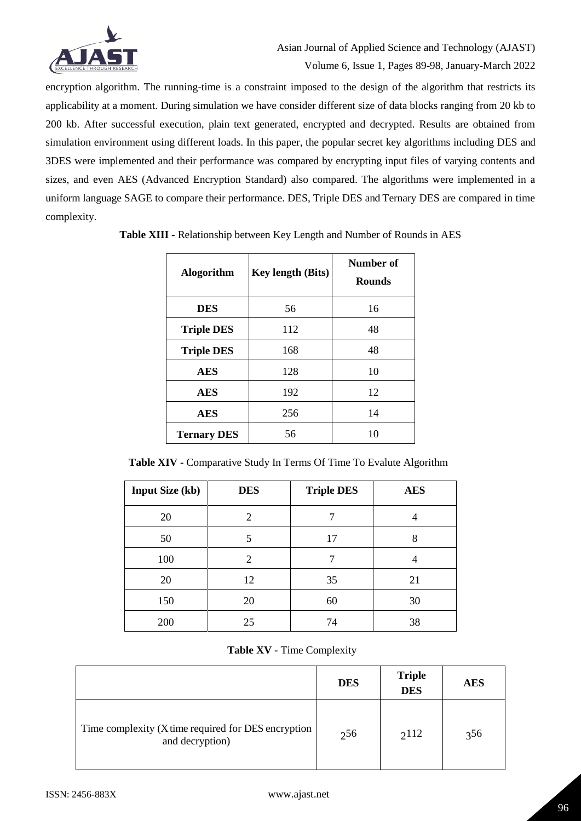

encryption algorithm. The running-time is a constraint imposed to the design of the algorithm that restricts its applicability at a moment. During simulation we have consider different size of data blocks ranging from 20 kb to 200 kb. After successful execution, plain text generated, encrypted and decrypted. Results are obtained from simulation environment using different loads. In this paper, the popular secret key algorithms including DES and 3DES were implemented and their performance was compared by encrypting input files of varying contents and sizes, and even AES (Advanced Encryption Standard) also compared. The algorithms were implemented in a uniform language SAGE to compare their performance. DES, Triple DES and Ternary DES are compared in time complexity.

| <b>Alogorithm</b>  | <b>Key length (Bits)</b> | Number of<br><b>Rounds</b> |  |  |
|--------------------|--------------------------|----------------------------|--|--|
| <b>DES</b>         | 56                       | 16                         |  |  |
| <b>Triple DES</b>  | 112                      | 48                         |  |  |
| <b>Triple DES</b>  | 168                      | 48                         |  |  |
| <b>AES</b>         | 128                      | 10                         |  |  |
| <b>AES</b>         | 192                      | 12                         |  |  |
| <b>AES</b>         | 256                      | 14                         |  |  |
| <b>Ternary DES</b> | 56                       | 10                         |  |  |

**Table XIII -** Relationship between Key Length and Number of Rounds in AES

**Table XIV -** Comparative Study In Terms Of Time To Evalute Algorithm

| <b>Input Size (kb)</b> | <b>DES</b> | <b>Triple DES</b> | <b>AES</b> |
|------------------------|------------|-------------------|------------|
| 20                     | 2          |                   |            |
| 50                     | 5          | 17                | 8          |
| 100                    | 2          |                   |            |
| 20                     | 12         | 35                | 21         |
| 150                    | 20         | 60                | 30         |
| 200                    | 25         | 74                | 38         |

**Table XV -** Time Complexity

|                                                                        | <b>DES</b> | <b>Triple</b><br><b>DES</b> | <b>AES</b> |
|------------------------------------------------------------------------|------------|-----------------------------|------------|
| Time complexity (X time required for DES encryption<br>and decryption) | 256        | 2112                        | 356        |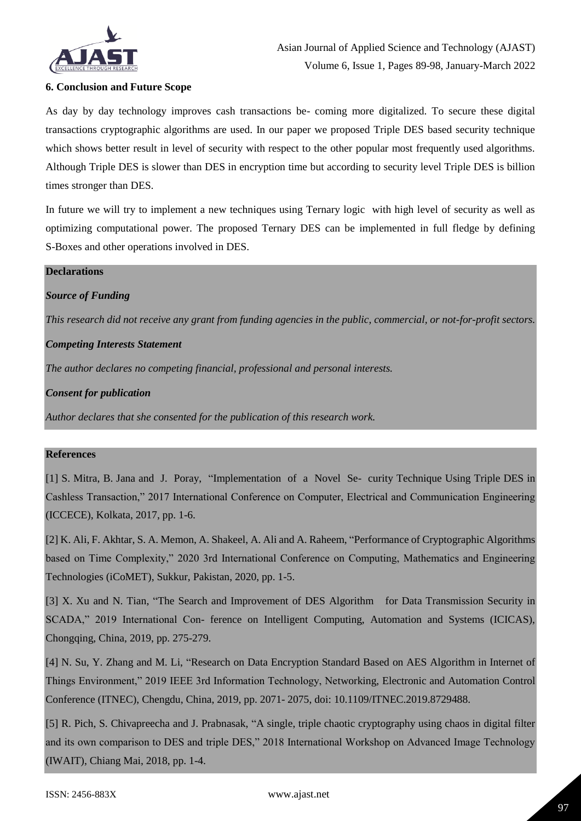

*This research did not receive any grant from funding agencies in the public, commercial, or not-for-profit sectors.*

#### **6. Conclusion and Future Scope**

As day by day technology improves cash transactions be- coming more digitalized. To secure these digital transactions cryptographic algorithms are used. In our paper we proposed Triple DES based security technique which shows better result in level of security with respect to the other popular most frequently used algorithms. Although Triple DES is slower than DES in encryption time but according to security level Triple DES is billion times stronger than DES.

In future we will try to implement a new techniques using Ternary logic with high level of security as well as optimizing computational power. The proposed Ternary DES can be implemented in full fledge by defining S-Boxes and other operations involved in DES.

| <b>Declarations</b>                                                                           |
|-----------------------------------------------------------------------------------------------|
| <b>Source of Funding</b>                                                                      |
| This research did not receive any grant from funding agencies in the public, commercial, or n |
| <b>Competing Interests Statement</b>                                                          |
| The author declares no competing financial, professional and personal interests.              |
| <b>Consent for publication</b>                                                                |
| Author declares that she consented for the publication of this research work.                 |
|                                                                                               |

## **References**

[1] S. Mitra, B. Jana and J. Poray, "Implementation of a Novel Se- curity Technique Using Triple DES in Cashless Transaction," 2017 International Conference on Computer, Electrical and Communication Engineering (ICCECE), Kolkata, 2017, pp. 1-6.

[2] K. Ali, F. Akhtar, S. A. Memon, A. Shakeel, A. Ali and A. Raheem, "Performance of Cryptographic Algorithms based on Time Complexity," 2020 3rd International Conference on Computing, Mathematics and Engineering Technologies (iCoMET), Sukkur, Pakistan, 2020, pp. 1-5.

[3] X. Xu and N. Tian, "The Search and Improvement of DES Algorithm for Data Transmission Security in SCADA," 2019 International Con- ference on Intelligent Computing, Automation and Systems (ICICAS), Chongqing, China, 2019, pp. 275-279.

[4] N. Su, Y. Zhang and M. Li, "Research on Data Encryption Standard Based on AES Algorithm in Internet of Things Environment," 2019 IEEE 3rd Information Technology, Networking, Electronic and Automation Control Conference (ITNEC), Chengdu, China, 2019, pp. 2071- 2075, doi: 10.1109/ITNEC.2019.8729488.

[5] R. Pich, S. Chivapreecha and J. Prabnasak, "A single, triple chaotic cryptography using chaos in digital filter and its own comparison to DES and triple DES," 2018 International Workshop on Advanced Image Technology (IWAIT), Chiang Mai, 2018, pp. 1-4.